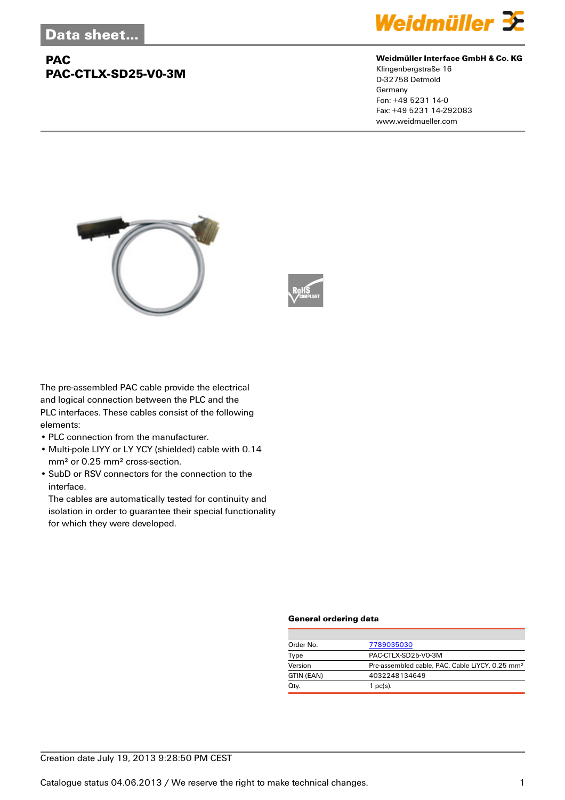## **PAC PAC-CTLX-SD25-V0-3M**



#### **Weidmüller Interface GmbH & Co. KG**

Klingenbergstraße 16 D-32758 Detmold Germany Fon: +49 5231 14-0 Fax: +49 5231 14-292083 www.weidmueller.com





The pre-assembled PAC cable provide the electrical and logical connection between the PLC and the PLC interfaces. These cables consist of the following elements:

- PLC connection from the manufacturer.
- Multi-pole LIYY or LY YCY (shielded) cable with 0.14 mm² or 0.25 mm² cross-section.
- SubD or RSV connectors for the connection to the interface.

The cables are automatically tested for continuity and isolation in order to guarantee their special functionality for which they were developed.

#### **General ordering data**

| Order No.  | 7789035030                                                  |
|------------|-------------------------------------------------------------|
| Type       | PAC-CTLX-SD25-V0-3M                                         |
| Version    | Pre-assembled cable, PAC, Cable LiYCY, 0.25 mm <sup>2</sup> |
| GTIN (EAN) | 4032248134649                                               |
| Qty.       | 1 $pc(s)$ .                                                 |